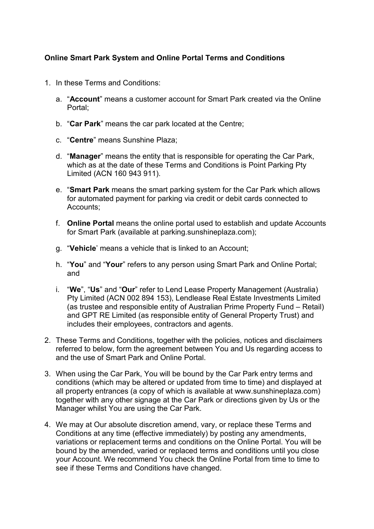# **Online Smart Park System and Online Portal Terms and Conditions**

- 1. In these Terms and Conditions:
	- a. "**Account**" means a customer account for Smart Park created via the Online Portal;
	- b. "**Car Park**" means the car park located at the Centre;
	- c. "**Centre**" means Sunshine Plaza;
	- d. "**Manager**" means the entity that is responsible for operating the Car Park, which as at the date of these Terms and Conditions is Point Parking Pty Limited (ACN 160 943 911).
	- e. "**Smart Park** means the smart parking system for the Car Park which allows for automated payment for parking via credit or debit cards connected to Accounts;
	- f. **Online Portal** means the online portal used to establish and update Accounts for Smart Park (available at parking.sunshineplaza.com);
	- g. "**Vehicle**' means a vehicle that is linked to an Account;
	- h. "**You**" and "**Your**" refers to any person using Smart Park and Online Portal; and
	- i. "**We**", "**Us**" and "**Our**" refer to Lend Lease Property Management (Australia) Pty Limited (ACN 002 894 153), Lendlease Real Estate Investments Limited (as trustee and responsible entity of Australian Prime Property Fund – Retail) and GPT RE Limited (as responsible entity of General Property Trust) and includes their employees, contractors and agents.
- 2. These Terms and Conditions, together with the policies, notices and disclaimers referred to below, form the agreement between You and Us regarding access to and the use of Smart Park and Online Portal.
- 3. When using the Car Park, You will be bound by the Car Park entry terms and conditions (which may be altered or updated from time to time) and displayed at all property entrances (a copy of which is available at www.sunshineplaza.com) together with any other signage at the Car Park or directions given by Us or the Manager whilst You are using the Car Park.
- 4. We may at Our absolute discretion amend, vary, or replace these Terms and Conditions at any time (effective immediately) by posting any amendments, variations or replacement terms and conditions on the Online Portal. You will be bound by the amended, varied or replaced terms and conditions until you close your Account. We recommend You check the Online Portal from time to time to see if these Terms and Conditions have changed.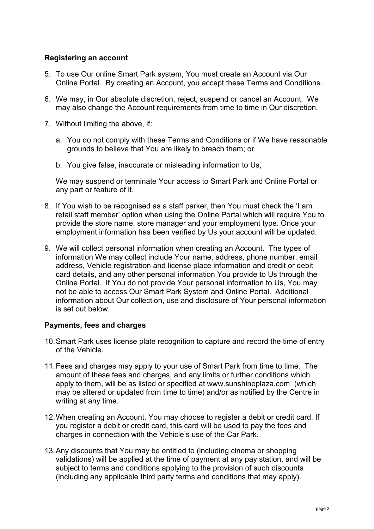# **Registering an account**

- 5. To use Our online Smart Park system, You must create an Account via Our Online Portal. By creating an Account, you accept these Terms and Conditions.
- 6. We may, in Our absolute discretion, reject, suspend or cancel an Account. We may also change the Account requirements from time to time in Our discretion.
- 7. Without limiting the above, if:
	- a. You do not comply with these Terms and Conditions or if We have reasonable grounds to believe that You are likely to breach them; or
	- b. You give false, inaccurate or misleading information to Us,

We may suspend or terminate Your access to Smart Park and Online Portal or any part or feature of it.

- 8. If You wish to be recognised as a staff parker, then You must check the 'I am retail staff member' option when using the Online Portal which will require You to provide the store name, store manager and your employment type. Once your employment information has been verified by Us your account will be updated.
- 9. We will collect personal information when creating an Account. The types of information We may collect include Your name, address, phone number, email address, Vehicle registration and license place information and credit or debit card details, and any other personal information You provide to Us through the Online Portal. If You do not provide Your personal information to Us, You may not be able to access Our Smart Park System and Online Portal. Additional information about Our collection, use and disclosure of Your personal information is set out below.

### **Payments, fees and charges**

- 10.Smart Park uses license plate recognition to capture and record the time of entry of the Vehicle.
- 11.Fees and charges may apply to your use of Smart Park from time to time. The amount of these fees and charges, and any limits or further conditions which apply to them, will be as listed or specified at www.sunshineplaza.com (which may be altered or updated from time to time) and/or as notified by the Centre in writing at any time.
- 12.When creating an Account, You may choose to register a debit or credit card. If you register a debit or credit card, this card will be used to pay the fees and charges in connection with the Vehicle's use of the Car Park.
- 13.Any discounts that You may be entitled to (including cinema or shopping validations) will be applied at the time of payment at any pay station, and will be subject to terms and conditions applying to the provision of such discounts (including any applicable third party terms and conditions that may apply).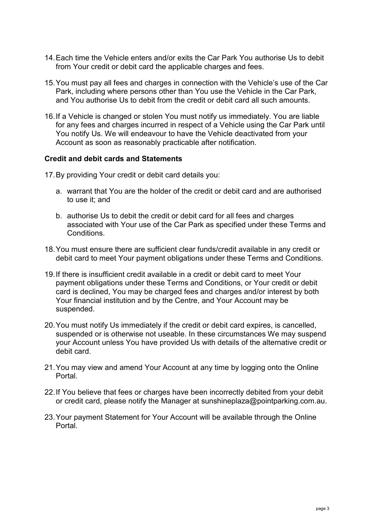- 14.Each time the Vehicle enters and/or exits the Car Park You authorise Us to debit from Your credit or debit card the applicable charges and fees.
- 15.You must pay all fees and charges in connection with the Vehicle's use of the Car Park, including where persons other than You use the Vehicle in the Car Park, and You authorise Us to debit from the credit or debit card all such amounts.
- 16.If a Vehicle is changed or stolen You must notify us immediately. You are liable for any fees and charges incurred in respect of a Vehicle using the Car Park until You notify Us. We will endeavour to have the Vehicle deactivated from your Account as soon as reasonably practicable after notification.

#### **Credit and debit cards and Statements**

- 17.By providing Your credit or debit card details you:
	- a. warrant that You are the holder of the credit or debit card and are authorised to use it; and
	- b. authorise Us to debit the credit or debit card for all fees and charges associated with Your use of the Car Park as specified under these Terms and **Conditions**
- 18.You must ensure there are sufficient clear funds/credit available in any credit or debit card to meet Your payment obligations under these Terms and Conditions.
- 19.If there is insufficient credit available in a credit or debit card to meet Your payment obligations under these Terms and Conditions, or Your credit or debit card is declined, You may be charged fees and charges and/or interest by both Your financial institution and by the Centre, and Your Account may be suspended.
- 20.You must notify Us immediately if the credit or debit card expires, is cancelled, suspended or is otherwise not useable. In these circumstances We may suspend your Account unless You have provided Us with details of the alternative credit or debit card.
- 21.You may view and amend Your Account at any time by logging onto the Online Portal.
- 22.If You believe that fees or charges have been incorrectly debited from your debit or credit card, please notify the Manager at sunshineplaza@pointparking.com.au.
- 23.Your payment Statement for Your Account will be available through the Online Portal.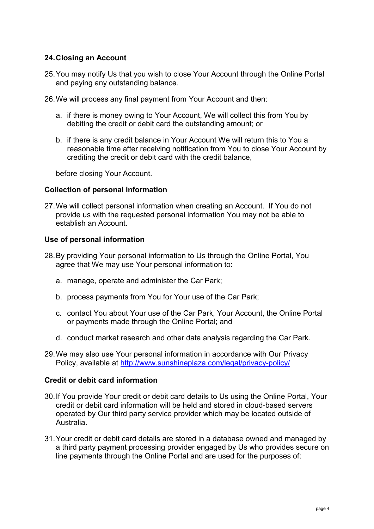# **24.Closing an Account**

- 25.You may notify Us that you wish to close Your Account through the Online Portal and paying any outstanding balance.
- 26.We will process any final payment from Your Account and then:
	- a. if there is money owing to Your Account, We will collect this from You by debiting the credit or debit card the outstanding amount; or
	- b. if there is any credit balance in Your Account We will return this to You a reasonable time after receiving notification from You to close Your Account by crediting the credit or debit card with the credit balance,

before closing Your Account.

### **Collection of personal information**

27.We will collect personal information when creating an Account. If You do not provide us with the requested personal information You may not be able to establish an Account.

### **Use of personal information**

- 28.By providing Your personal information to Us through the Online Portal, You agree that We may use Your personal information to:
	- a. manage, operate and administer the Car Park;
	- b. process payments from You for Your use of the Car Park;
	- c. contact You about Your use of the Car Park, Your Account, the Online Portal or payments made through the Online Portal; and
	- d. conduct market research and other data analysis regarding the Car Park.
- 29.We may also use Your personal information in accordance with Our Privacy Policy, available at<http://www.sunshineplaza.com/legal/privacy-policy/>

### **Credit or debit card information**

- 30.If You provide Your credit or debit card details to Us using the Online Portal, Your credit or debit card information will be held and stored in cloud-based servers operated by Our third party service provider which may be located outside of Australia.
- 31.Your credit or debit card details are stored in a database owned and managed by a third party payment processing provider engaged by Us who provides secure on line payments through the Online Portal and are used for the purposes of: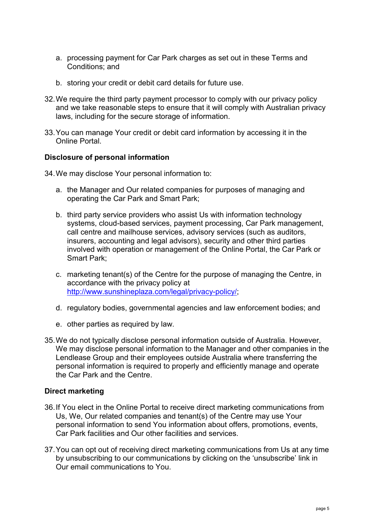- a. processing payment for Car Park charges as set out in these Terms and Conditions; and
- b. storing your credit or debit card details for future use.
- 32.We require the third party payment processor to comply with our privacy policy and we take reasonable steps to ensure that it will comply with Australian privacy laws, including for the secure storage of information.
- 33.You can manage Your credit or debit card information by accessing it in the Online Portal.

### **Disclosure of personal information**

34.We may disclose Your personal information to:

- a. the Manager and Our related companies for purposes of managing and operating the Car Park and Smart Park;
- b. third party service providers who assist Us with information technology systems, cloud-based services, payment processing, Car Park management, call centre and mailhouse services, advisory services (such as auditors, insurers, accounting and legal advisors), security and other third parties involved with operation or management of the Online Portal, the Car Park or Smart Park;
- c. marketing tenant(s) of the Centre for the purpose of managing the Centre, in accordance with the privacy policy at [http://www.sunshineplaza.com/legal/privacy-policy/;](http://www.sunshineplaza.com/legal/privacy-policy/)
- d. regulatory bodies, governmental agencies and law enforcement bodies; and
- e. other parties as required by law.
- 35.We do not typically disclose personal information outside of Australia. However, We may disclose personal information to the Manager and other companies in the Lendlease Group and their employees outside Australia where transferring the personal information is required to properly and efficiently manage and operate the Car Park and the Centre.

### **Direct marketing**

- 36.If You elect in the Online Portal to receive direct marketing communications from Us, We, Our related companies and tenant(s) of the Centre may use Your personal information to send You information about offers, promotions, events, Car Park facilities and Our other facilities and services.
- 37.You can opt out of receiving direct marketing communications from Us at any time by unsubscribing to our communications by clicking on the 'unsubscribe' link in Our email communications to You.